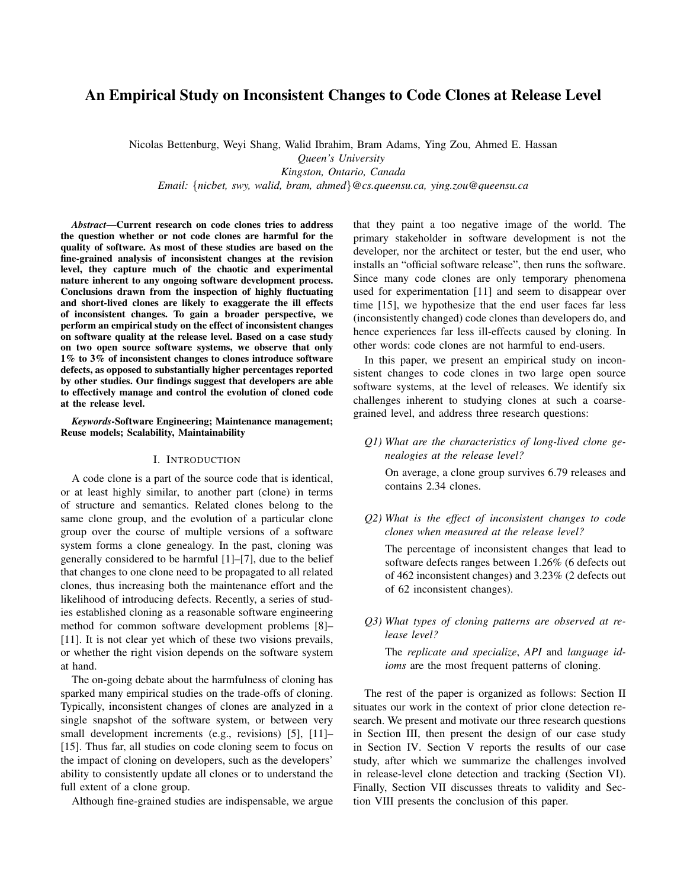# An Empirical Study on Inconsistent Changes to Code Clones at Release Level

Nicolas Bettenburg, Weyi Shang, Walid Ibrahim, Bram Adams, Ying Zou, Ahmed E. Hassan

*Queen's University*

*Kingston, Ontario, Canada*

*Email:* {*nicbet, swy, walid, bram, ahmed*}*@cs.queensu.ca, ying.zou@queensu.ca*

*Abstract*—Current research on code clones tries to address the question whether or not code clones are harmful for the quality of software. As most of these studies are based on the fine-grained analysis of inconsistent changes at the revision level, they capture much of the chaotic and experimental nature inherent to any ongoing software development process. Conclusions drawn from the inspection of highly fluctuating and short-lived clones are likely to exaggerate the ill effects of inconsistent changes. To gain a broader perspective, we perform an empirical study on the effect of inconsistent changes on software quality at the release level. Based on a case study on two open source software systems, we observe that only 1% to 3% of inconsistent changes to clones introduce software defects, as opposed to substantially higher percentages reported by other studies. Our findings suggest that developers are able to effectively manage and control the evolution of cloned code at the release level.

*Keywords*-Software Engineering; Maintenance management; Reuse models; Scalability, Maintainability

## I. INTRODUCTION

A code clone is a part of the source code that is identical, or at least highly similar, to another part (clone) in terms of structure and semantics. Related clones belong to the same clone group, and the evolution of a particular clone group over the course of multiple versions of a software system forms a clone genealogy. In the past, cloning was generally considered to be harmful [1]–[7], due to the belief that changes to one clone need to be propagated to all related clones, thus increasing both the maintenance effort and the likelihood of introducing defects. Recently, a series of studies established cloning as a reasonable software engineering method for common software development problems [8]– [11]. It is not clear yet which of these two visions prevails, or whether the right vision depends on the software system at hand.

The on-going debate about the harmfulness of cloning has sparked many empirical studies on the trade-offs of cloning. Typically, inconsistent changes of clones are analyzed in a single snapshot of the software system, or between very small development increments (e.g., revisions) [5], [11]– [15]. Thus far, all studies on code cloning seem to focus on the impact of cloning on developers, such as the developers' ability to consistently update all clones or to understand the full extent of a clone group.

Although fine-grained studies are indispensable, we argue

that they paint a too negative image of the world. The primary stakeholder in software development is not the developer, nor the architect or tester, but the end user, who installs an "official software release", then runs the software. Since many code clones are only temporary phenomena used for experimentation [11] and seem to disappear over time [15], we hypothesize that the end user faces far less (inconsistently changed) code clones than developers do, and hence experiences far less ill-effects caused by cloning. In other words: code clones are not harmful to end-users.

In this paper, we present an empirical study on inconsistent changes to code clones in two large open source software systems, at the level of releases. We identify six challenges inherent to studying clones at such a coarsegrained level, and address three research questions:

*Q1) What are the characteristics of long-lived clone genealogies at the release level?*

On average, a clone group survives 6.79 releases and contains 2.34 clones.

*Q2) What is the effect of inconsistent changes to code clones when measured at the release level?*

The percentage of inconsistent changes that lead to software defects ranges between 1.26% (6 defects out of 462 inconsistent changes) and 3.23% (2 defects out of 62 inconsistent changes).

*Q3) What types of cloning patterns are observed at release level?*

The *replicate and specialize*, *API* and *language idioms* are the most frequent patterns of cloning.

The rest of the paper is organized as follows: Section II situates our work in the context of prior clone detection research. We present and motivate our three research questions in Section III, then present the design of our case study in Section IV. Section V reports the results of our case study, after which we summarize the challenges involved in release-level clone detection and tracking (Section VI). Finally, Section VII discusses threats to validity and Section VIII presents the conclusion of this paper.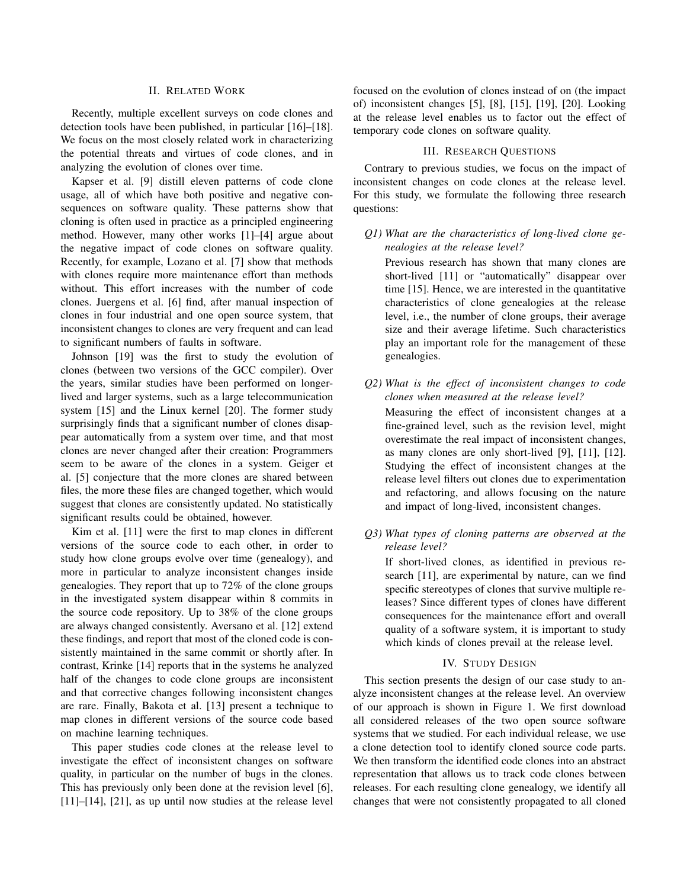# II. RELATED WORK

Recently, multiple excellent surveys on code clones and detection tools have been published, in particular [16]–[18]. We focus on the most closely related work in characterizing the potential threats and virtues of code clones, and in analyzing the evolution of clones over time.

Kapser et al. [9] distill eleven patterns of code clone usage, all of which have both positive and negative consequences on software quality. These patterns show that cloning is often used in practice as a principled engineering method. However, many other works [1]–[4] argue about the negative impact of code clones on software quality. Recently, for example, Lozano et al. [7] show that methods with clones require more maintenance effort than methods without. This effort increases with the number of code clones. Juergens et al. [6] find, after manual inspection of clones in four industrial and one open source system, that inconsistent changes to clones are very frequent and can lead to significant numbers of faults in software.

Johnson [19] was the first to study the evolution of clones (between two versions of the GCC compiler). Over the years, similar studies have been performed on longerlived and larger systems, such as a large telecommunication system [15] and the Linux kernel [20]. The former study surprisingly finds that a significant number of clones disappear automatically from a system over time, and that most clones are never changed after their creation: Programmers seem to be aware of the clones in a system. Geiger et al. [5] conjecture that the more clones are shared between files, the more these files are changed together, which would suggest that clones are consistently updated. No statistically significant results could be obtained, however.

Kim et al. [11] were the first to map clones in different versions of the source code to each other, in order to study how clone groups evolve over time (genealogy), and more in particular to analyze inconsistent changes inside genealogies. They report that up to 72% of the clone groups in the investigated system disappear within 8 commits in the source code repository. Up to 38% of the clone groups are always changed consistently. Aversano et al. [12] extend these findings, and report that most of the cloned code is consistently maintained in the same commit or shortly after. In contrast, Krinke [14] reports that in the systems he analyzed half of the changes to code clone groups are inconsistent and that corrective changes following inconsistent changes are rare. Finally, Bakota et al. [13] present a technique to map clones in different versions of the source code based on machine learning techniques.

This paper studies code clones at the release level to investigate the effect of inconsistent changes on software quality, in particular on the number of bugs in the clones. This has previously only been done at the revision level [6], [11]–[14], [21], as up until now studies at the release level focused on the evolution of clones instead of on (the impact of) inconsistent changes [5], [8], [15], [19], [20]. Looking at the release level enables us to factor out the effect of temporary code clones on software quality.

# III. RESEARCH QUESTIONS

Contrary to previous studies, we focus on the impact of inconsistent changes on code clones at the release level. For this study, we formulate the following three research questions:

*Q1) What are the characteristics of long-lived clone genealogies at the release level?*

Previous research has shown that many clones are short-lived [11] or "automatically" disappear over time [15]. Hence, we are interested in the quantitative characteristics of clone genealogies at the release level, i.e., the number of clone groups, their average size and their average lifetime. Such characteristics play an important role for the management of these genealogies.

*Q2) What is the effect of inconsistent changes to code clones when measured at the release level?*

Measuring the effect of inconsistent changes at a fine-grained level, such as the revision level, might overestimate the real impact of inconsistent changes, as many clones are only short-lived [9], [11], [12]. Studying the effect of inconsistent changes at the release level filters out clones due to experimentation and refactoring, and allows focusing on the nature and impact of long-lived, inconsistent changes.

*Q3) What types of cloning patterns are observed at the release level?*

If short-lived clones, as identified in previous research [11], are experimental by nature, can we find specific stereotypes of clones that survive multiple releases? Since different types of clones have different consequences for the maintenance effort and overall quality of a software system, it is important to study which kinds of clones prevail at the release level.

# IV. STUDY DESIGN

This section presents the design of our case study to analyze inconsistent changes at the release level. An overview of our approach is shown in Figure 1. We first download all considered releases of the two open source software systems that we studied. For each individual release, we use a clone detection tool to identify cloned source code parts. We then transform the identified code clones into an abstract representation that allows us to track code clones between releases. For each resulting clone genealogy, we identify all changes that were not consistently propagated to all cloned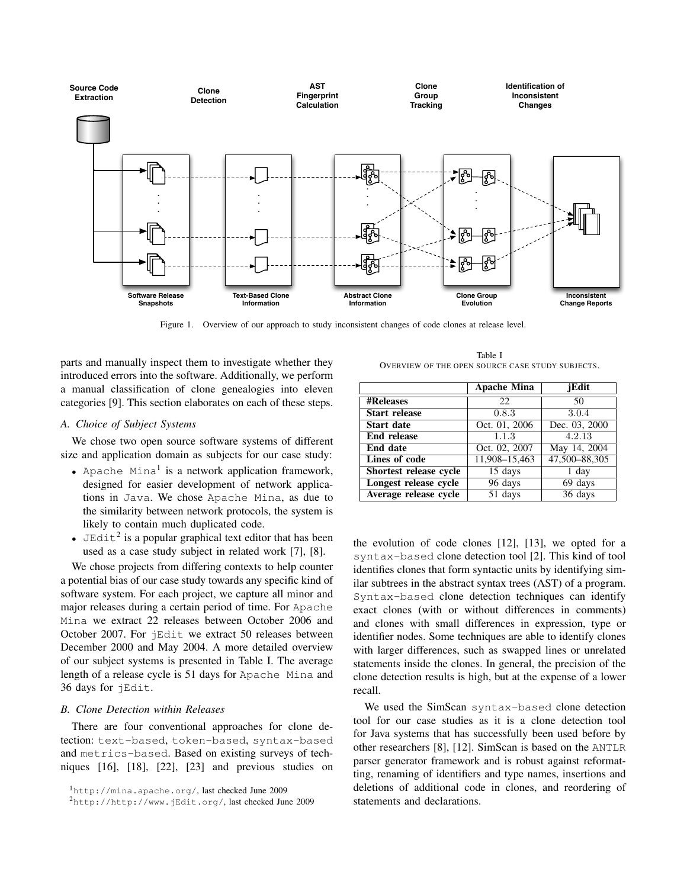

Figure 1. Overview of our approach to study inconsistent changes of code clones at release level.

parts and manually inspect them to investigate whether they introduced errors into the software. Additionally, we perform a manual classification of clone genealogies into eleven categories [9]. This section elaborates on each of these steps.

# *A. Choice of Subject Systems*

We chose two open source software systems of different size and application domain as subjects for our case study:

- $\bullet$  Apache Mina<sup>l</sup> is a network application framework, designed for easier development of network applications in Java. We chose Apache Mina, as due to the similarity between network protocols, the system is likely to contain much duplicated code.
- JEdit<sup>2</sup> is a popular graphical text editor that has been used as a case study subject in related work [7], [8].

We chose projects from differing contexts to help counter a potential bias of our case study towards any specific kind of software system. For each project, we capture all minor and major releases during a certain period of time. For Apache Mina we extract 22 releases between October 2006 and October 2007. For jEdit we extract 50 releases between December 2000 and May 2004. A more detailed overview of our subject systems is presented in Table I. The average length of a release cycle is 51 days for Apache Mina and 36 days for jEdit.

# *B. Clone Detection within Releases*

There are four conventional approaches for clone detection: text-based, token-based, syntax-based and metrics-based. Based on existing surveys of techniques [16], [18], [22], [23] and previous studies on

Table I OVERVIEW OF THE OPEN SOURCE CASE STUDY SUBJECTS.

|                              | <b>Apache Mina</b> | jEdit         |  |
|------------------------------|--------------------|---------------|--|
| #Releases                    | 22                 | 50            |  |
| <b>Start release</b>         | 0.8.3              | 3.0.4         |  |
| <b>Start date</b>            | Oct. 01, 2006      | Dec. 03, 2000 |  |
| <b>End release</b>           | 1.1.3              | 4.2.13        |  |
| End date                     | Oct. 02, 2007      | May 14, 2004  |  |
| Lines of code                | 11,908-15,463      | 47,500-88,305 |  |
| Shortest release cycle       | 15 days            | 1 day         |  |
| <b>Longest release cycle</b> | 96 days            | 69 days       |  |
| Average release cycle        | 51 days<br>36 days |               |  |

the evolution of code clones [12], [13], we opted for a syntax-based clone detection tool [2]. This kind of tool identifies clones that form syntactic units by identifying similar subtrees in the abstract syntax trees (AST) of a program. Syntax-based clone detection techniques can identify exact clones (with or without differences in comments) and clones with small differences in expression, type or identifier nodes. Some techniques are able to identify clones with larger differences, such as swapped lines or unrelated statements inside the clones. In general, the precision of the clone detection results is high, but at the expense of a lower recall.

We used the SimScan syntax-based clone detection tool for our case studies as it is a clone detection tool for Java systems that has successfully been used before by other researchers [8], [12]. SimScan is based on the ANTLR parser generator framework and is robust against reformatting, renaming of identifiers and type names, insertions and deletions of additional code in clones, and reordering of statements and declarations.

<sup>1</sup>http://mina.apache.org/, last checked June 2009

<sup>2</sup>http://http://www.jEdit.org/, last checked June 2009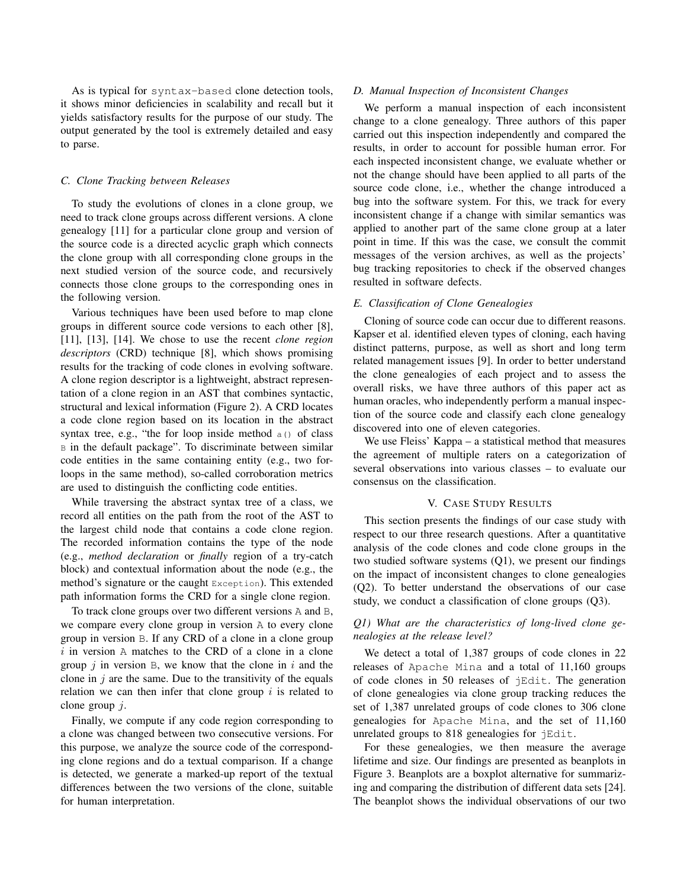As is typical for syntax-based clone detection tools, it shows minor deficiencies in scalability and recall but it yields satisfactory results for the purpose of our study. The output generated by the tool is extremely detailed and easy to parse.

## *C. Clone Tracking between Releases*

To study the evolutions of clones in a clone group, we need to track clone groups across different versions. A clone genealogy [11] for a particular clone group and version of the source code is a directed acyclic graph which connects the clone group with all corresponding clone groups in the next studied version of the source code, and recursively connects those clone groups to the corresponding ones in the following version.

Various techniques have been used before to map clone groups in different source code versions to each other [8], [11], [13], [14]. We chose to use the recent *clone region descriptors* (CRD) technique [8], which shows promising results for the tracking of code clones in evolving software. A clone region descriptor is a lightweight, abstract representation of a clone region in an AST that combines syntactic, structural and lexical information (Figure 2). A CRD locates a code clone region based on its location in the abstract syntax tree, e.g., "the for loop inside method  $a()$  of class B in the default package". To discriminate between similar code entities in the same containing entity (e.g., two forloops in the same method), so-called corroboration metrics are used to distinguish the conflicting code entities.

While traversing the abstract syntax tree of a class, we record all entities on the path from the root of the AST to the largest child node that contains a code clone region. The recorded information contains the type of the node (e.g., *method declaration* or *finally* region of a try-catch block) and contextual information about the node (e.g., the method's signature or the caught Exception). This extended path information forms the CRD for a single clone region.

To track clone groups over two different versions A and B, we compare every clone group in version A to every clone group in version B. If any CRD of a clone in a clone group  $i$  in version A matches to the CRD of a clone in a clone group  $j$  in version B, we know that the clone in  $i$  and the clone in  $j$  are the same. Due to the transitivity of the equals relation we can then infer that clone group  $i$  is related to clone group  $i$ .

Finally, we compute if any code region corresponding to a clone was changed between two consecutive versions. For this purpose, we analyze the source code of the corresponding clone regions and do a textual comparison. If a change is detected, we generate a marked-up report of the textual differences between the two versions of the clone, suitable for human interpretation.

# *D. Manual Inspection of Inconsistent Changes*

We perform a manual inspection of each inconsistent change to a clone genealogy. Three authors of this paper carried out this inspection independently and compared the results, in order to account for possible human error. For each inspected inconsistent change, we evaluate whether or not the change should have been applied to all parts of the source code clone, i.e., whether the change introduced a bug into the software system. For this, we track for every inconsistent change if a change with similar semantics was applied to another part of the same clone group at a later point in time. If this was the case, we consult the commit messages of the version archives, as well as the projects' bug tracking repositories to check if the observed changes resulted in software defects.

# *E. Classification of Clone Genealogies*

Cloning of source code can occur due to different reasons. Kapser et al. identified eleven types of cloning, each having distinct patterns, purpose, as well as short and long term related management issues [9]. In order to better understand the clone genealogies of each project and to assess the overall risks, we have three authors of this paper act as human oracles, who independently perform a manual inspection of the source code and classify each clone genealogy discovered into one of eleven categories.

We use Fleiss' Kappa – a statistical method that measures the agreement of multiple raters on a categorization of several observations into various classes – to evaluate our consensus on the classification.

## V. CASE STUDY RESULTS

This section presents the findings of our case study with respect to our three research questions. After a quantitative analysis of the code clones and code clone groups in the two studied software systems (Q1), we present our findings on the impact of inconsistent changes to clone genealogies (Q2). To better understand the observations of our case study, we conduct a classification of clone groups (Q3).

# *Q1) What are the characteristics of long-lived clone genealogies at the release level?*

We detect a total of 1,387 groups of code clones in 22 releases of Apache Mina and a total of 11,160 groups of code clones in 50 releases of jEdit. The generation of clone genealogies via clone group tracking reduces the set of 1,387 unrelated groups of code clones to 306 clone genealogies for Apache Mina, and the set of 11,160 unrelated groups to 818 genealogies for jEdit.

For these genealogies, we then measure the average lifetime and size. Our findings are presented as beanplots in Figure 3. Beanplots are a boxplot alternative for summarizing and comparing the distribution of different data sets [24]. The beanplot shows the individual observations of our two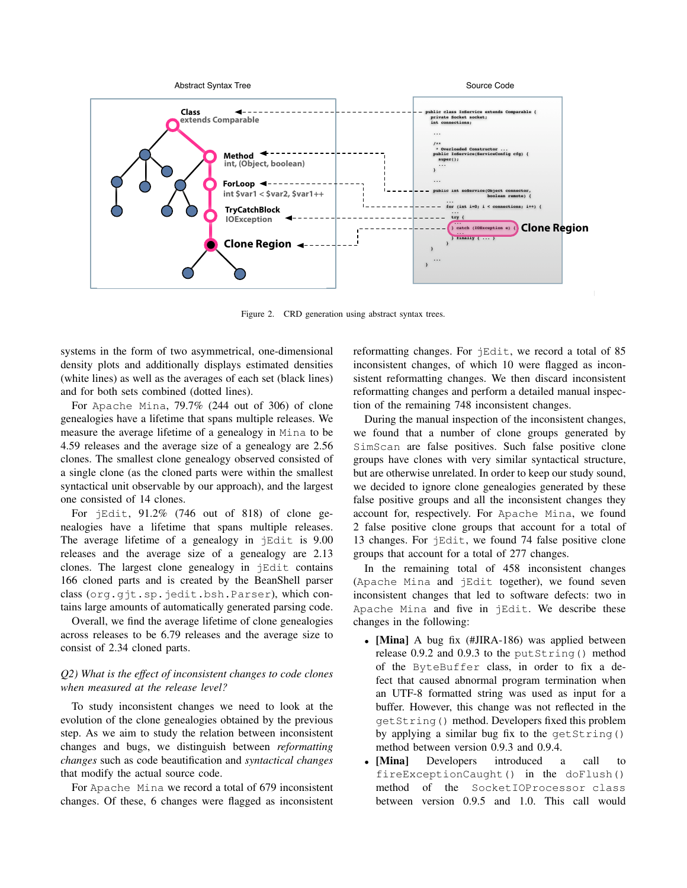

Figure 2. CRD generation using abstract syntax trees.

systems in the form of two asymmetrical, one-dimensional density plots and additionally displays estimated densities (white lines) as well as the averages of each set (black lines) and for both sets combined (dotted lines).

For Apache Mina, 79.7% (244 out of 306) of clone genealogies have a lifetime that spans multiple releases. We measure the average lifetime of a genealogy in Mina to be 4.59 releases and the average size of a genealogy are 2.56 clones. The smallest clone genealogy observed consisted of a single clone (as the cloned parts were within the smallest syntactical unit observable by our approach), and the largest one consisted of 14 clones.

For jEdit, 91.2% (746 out of 818) of clone genealogies have a lifetime that spans multiple releases. The average lifetime of a genealogy in jEdit is 9.00 releases and the average size of a genealogy are 2.13 clones. The largest clone genealogy in jEdit contains 166 cloned parts and is created by the BeanShell parser class (org.gjt.sp.jedit.bsh.Parser), which contains large amounts of automatically generated parsing code.

Overall, we find the average lifetime of clone genealogies across releases to be 6.79 releases and the average size to consist of 2.34 cloned parts.

# *Q2) What is the effect of inconsistent changes to code clones when measured at the release level?*

To study inconsistent changes we need to look at the evolution of the clone genealogies obtained by the previous step. As we aim to study the relation between inconsistent changes and bugs, we distinguish between *reformatting changes* such as code beautification and *syntactical changes* that modify the actual source code.

For Apache Mina we record a total of 679 inconsistent changes. Of these, 6 changes were flagged as inconsistent

reformatting changes. For jEdit, we record a total of 85 inconsistent changes, of which 10 were flagged as inconsistent reformatting changes. We then discard inconsistent reformatting changes and perform a detailed manual inspection of the remaining 748 inconsistent changes.

During the manual inspection of the inconsistent changes, we found that a number of clone groups generated by SimScan are false positives. Such false positive clone groups have clones with very similar syntactical structure, but are otherwise unrelated. In order to keep our study sound, we decided to ignore clone genealogies generated by these false positive groups and all the inconsistent changes they account for, respectively. For Apache Mina, we found 2 false positive clone groups that account for a total of 13 changes. For jEdit, we found 74 false positive clone groups that account for a total of 277 changes.

In the remaining total of 458 inconsistent changes (Apache Mina and jEdit together), we found seven inconsistent changes that led to software defects: two in Apache Mina and five in jEdit. We describe these changes in the following:

- [Mina] A bug fix (#JIRA-186) was applied between release 0.9.2 and 0.9.3 to the putString() method of the ByteBuffer class, in order to fix a defect that caused abnormal program termination when an UTF-8 formatted string was used as input for a buffer. However, this change was not reflected in the getString() method. Developers fixed this problem by applying a similar bug fix to the getString() method between version 0.9.3 and 0.9.4.
- [Mina] Developers introduced a call to fireExceptionCaught() in the doFlush() method of the SocketIOProcessor class between version 0.9.5 and 1.0. This call would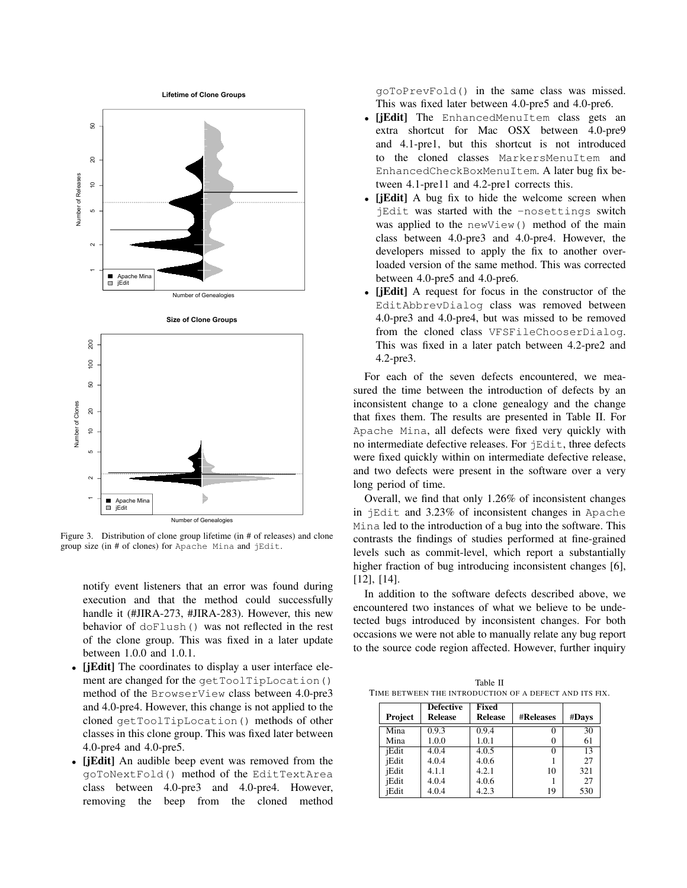

Figure 3. Distribution of clone group lifetime (in # of releases) and clone group size (in # of clones) for Apache Mina and jEdit.

notify event listeners that an error was found during execution and that the method could successfully handle it (#JIRA-273, #JIRA-283). However, this new behavior of doFlush() was not reflected in the rest of the clone group. This was fixed in a later update between 1.0.0 and 1.0.1.

- [jEdit] The coordinates to display a user interface element are changed for the getToolTipLocation() method of the BrowserView class between 4.0-pre3 and 4.0-pre4. However, this change is not applied to the cloned getToolTipLocation() methods of other classes in this clone group. This was fixed later between 4.0-pre4 and 4.0-pre5.
- [jEdit] An audible beep event was removed from the goToNextFold() method of the EditTextArea class between 4.0-pre3 and 4.0-pre4. However, removing the beep from the cloned method

goToPrevFold() in the same class was missed. This was fixed later between 4.0-pre5 and 4.0-pre6.

- [jEdit] The EnhancedMenuItem class gets an extra shortcut for Mac OSX between 4.0-pre9 and 4.1-pre1, but this shortcut is not introduced to the cloned classes MarkersMenuItem and EnhancedCheckBoxMenuItem. A later bug fix between 4.1-pre11 and 4.2-pre1 corrects this.
- [jEdit] A bug fix to hide the welcome screen when jEdit was started with the -nosettings switch was applied to the newView() method of the main class between 4.0-pre3 and 4.0-pre4. However, the developers missed to apply the fix to another overloaded version of the same method. This was corrected between 4.0-pre5 and 4.0-pre6.
- [jEdit] A request for focus in the constructor of the EditAbbrevDialog class was removed between 4.0-pre3 and 4.0-pre4, but was missed to be removed from the cloned class VFSFileChooserDialog. This was fixed in a later patch between 4.2-pre2 and 4.2-pre3.

For each of the seven defects encountered, we measured the time between the introduction of defects by an inconsistent change to a clone genealogy and the change that fixes them. The results are presented in Table II. For Apache Mina, all defects were fixed very quickly with no intermediate defective releases. For jEdit, three defects were fixed quickly within on intermediate defective release, and two defects were present in the software over a very long period of time.

Overall, we find that only 1.26% of inconsistent changes in jEdit and 3.23% of inconsistent changes in Apache Mina led to the introduction of a bug into the software. This contrasts the findings of studies performed at fine-grained levels such as commit-level, which report a substantially higher fraction of bug introducing inconsistent changes [6], [12], [14].

In addition to the software defects described above, we encountered two instances of what we believe to be undetected bugs introduced by inconsistent changes. For both occasions we were not able to manually relate any bug report to the source code region affected. However, further inquiry

Table II TIME BETWEEN THE INTRODUCTION OF A DEFECT AND ITS FIX.

|         | <b>Defective</b> | Fixed          |           |       |
|---------|------------------|----------------|-----------|-------|
| Project | <b>Release</b>   | <b>Release</b> | #Releases | #Days |
| Mina    | 0.9.3            | 0.9.4          |           | 30    |
| Mina    | 1.0.0            | 1.0.1          |           | 61    |
| iEdit   | 4.0.4            | 4.0.5          |           | 13    |
| iEdit   | 4.0.4            | 4.0.6          |           | 27    |
| iEdit   | 4.1.1            | 4.2.1          | 10        | 321   |
| iEdit   | 4.0.4            | 4.0.6          |           | 27    |
| iEdit   | 4.0.4            | 4.2.3          | 19        | 530   |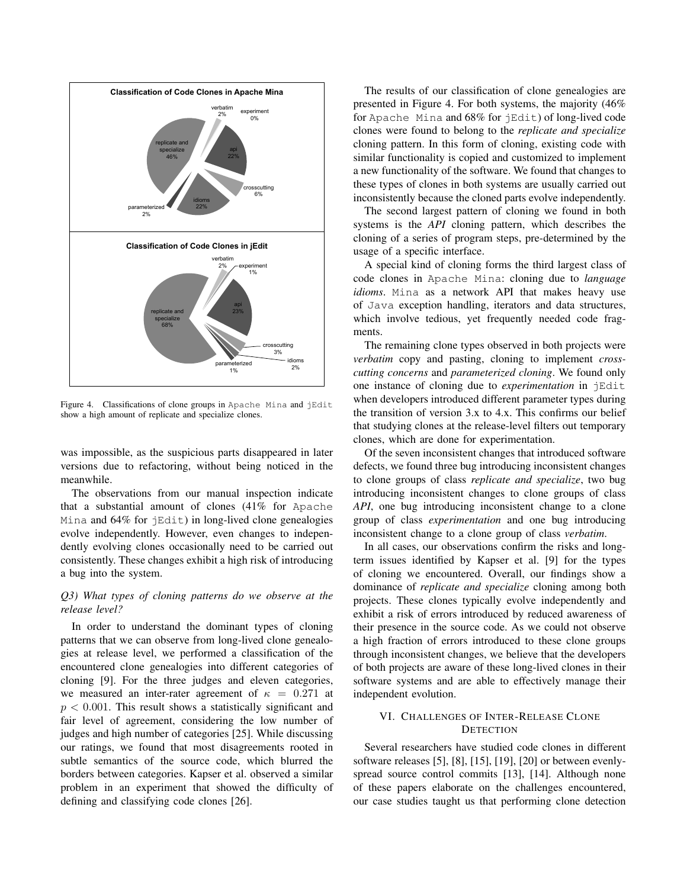

Figure 4. Classifications of clone groups in Apache Mina and jEdit show a high amount of replicate and specialize clones.

was impossible, as the suspicious parts disappeared in later versions due to refactoring, without being noticed in the meanwhile.

The observations from our manual inspection indicate that a substantial amount of clones (41% for Apache Mina and 64% for jEdit) in long-lived clone genealogies evolve independently. However, even changes to independently evolving clones occasionally need to be carried out consistently. These changes exhibit a high risk of introducing a bug into the system.

# *Q3) What types of cloning patterns do we observe at the release level?*

In order to understand the dominant types of cloning patterns that we can observe from long-lived clone genealogies at release level, we performed a classification of the encountered clone genealogies into different categories of cloning [9]. For the three judges and eleven categories, we measured an inter-rater agreement of  $\kappa = 0.271$  at  $p < 0.001$ . This result shows a statistically significant and fair level of agreement, considering the low number of judges and high number of categories [25]. While discussing our ratings, we found that most disagreements rooted in subtle semantics of the source code, which blurred the borders between categories. Kapser et al. observed a similar problem in an experiment that showed the difficulty of defining and classifying code clones [26].

The results of our classification of clone genealogies are presented in Figure 4. For both systems, the majority (46% for Apache Mina and 68% for jEdit) of long-lived code clones were found to belong to the *replicate and specialize* cloning pattern. In this form of cloning, existing code with similar functionality is copied and customized to implement a new functionality of the software. We found that changes to these types of clones in both systems are usually carried out inconsistently because the cloned parts evolve independently.

The second largest pattern of cloning we found in both systems is the *API* cloning pattern, which describes the cloning of a series of program steps, pre-determined by the usage of a specific interface.

A special kind of cloning forms the third largest class of code clones in Apache Mina: cloning due to *language idioms*. Mina as a network API that makes heavy use of Java exception handling, iterators and data structures, which involve tedious, yet frequently needed code fragments.

The remaining clone types observed in both projects were *verbatim* copy and pasting, cloning to implement *crosscutting concerns* and *parameterized cloning*. We found only one instance of cloning due to *experimentation* in jEdit when developers introduced different parameter types during the transition of version 3.x to 4.x. This confirms our belief that studying clones at the release-level filters out temporary clones, which are done for experimentation.

Of the seven inconsistent changes that introduced software defects, we found three bug introducing inconsistent changes to clone groups of class *replicate and specialize*, two bug introducing inconsistent changes to clone groups of class *API*, one bug introducing inconsistent change to a clone group of class *experimentation* and one bug introducing inconsistent change to a clone group of class *verbatim*.

In all cases, our observations confirm the risks and longterm issues identified by Kapser et al. [9] for the types of cloning we encountered. Overall, our findings show a dominance of *replicate and specialize* cloning among both projects. These clones typically evolve independently and exhibit a risk of errors introduced by reduced awareness of their presence in the source code. As we could not observe a high fraction of errors introduced to these clone groups through inconsistent changes, we believe that the developers of both projects are aware of these long-lived clones in their software systems and are able to effectively manage their independent evolution.

# VI. CHALLENGES OF INTER-RELEASE CLONE **DETECTION**

Several researchers have studied code clones in different software releases [5], [8], [15], [19], [20] or between evenlyspread source control commits [13], [14]. Although none of these papers elaborate on the challenges encountered, our case studies taught us that performing clone detection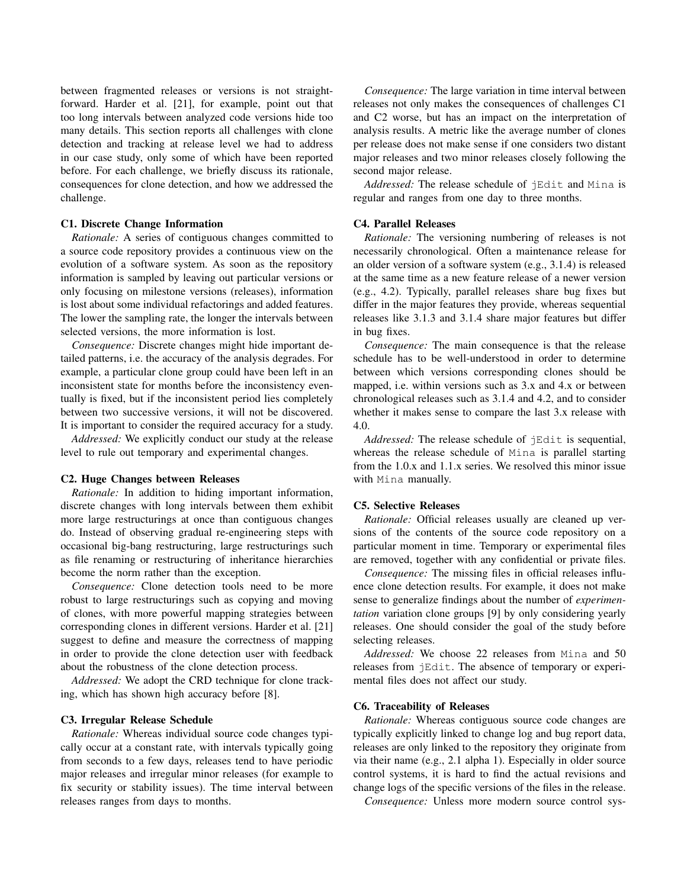between fragmented releases or versions is not straightforward. Harder et al. [21], for example, point out that too long intervals between analyzed code versions hide too many details. This section reports all challenges with clone detection and tracking at release level we had to address in our case study, only some of which have been reported before. For each challenge, we briefly discuss its rationale, consequences for clone detection, and how we addressed the challenge.

#### C1. Discrete Change Information

*Rationale:* A series of contiguous changes committed to a source code repository provides a continuous view on the evolution of a software system. As soon as the repository information is sampled by leaving out particular versions or only focusing on milestone versions (releases), information is lost about some individual refactorings and added features. The lower the sampling rate, the longer the intervals between selected versions, the more information is lost.

*Consequence:* Discrete changes might hide important detailed patterns, i.e. the accuracy of the analysis degrades. For example, a particular clone group could have been left in an inconsistent state for months before the inconsistency eventually is fixed, but if the inconsistent period lies completely between two successive versions, it will not be discovered. It is important to consider the required accuracy for a study.

*Addressed:* We explicitly conduct our study at the release level to rule out temporary and experimental changes.

## C2. Huge Changes between Releases

*Rationale:* In addition to hiding important information, discrete changes with long intervals between them exhibit more large restructurings at once than contiguous changes do. Instead of observing gradual re-engineering steps with occasional big-bang restructuring, large restructurings such as file renaming or restructuring of inheritance hierarchies become the norm rather than the exception.

*Consequence:* Clone detection tools need to be more robust to large restructurings such as copying and moving of clones, with more powerful mapping strategies between corresponding clones in different versions. Harder et al. [21] suggest to define and measure the correctness of mapping in order to provide the clone detection user with feedback about the robustness of the clone detection process.

*Addressed:* We adopt the CRD technique for clone tracking, which has shown high accuracy before [8].

# C3. Irregular Release Schedule

*Rationale:* Whereas individual source code changes typically occur at a constant rate, with intervals typically going from seconds to a few days, releases tend to have periodic major releases and irregular minor releases (for example to fix security or stability issues). The time interval between releases ranges from days to months.

*Consequence:* The large variation in time interval between releases not only makes the consequences of challenges C1 and C2 worse, but has an impact on the interpretation of analysis results. A metric like the average number of clones per release does not make sense if one considers two distant major releases and two minor releases closely following the second major release.

*Addressed:* The release schedule of jEdit and Mina is regular and ranges from one day to three months.

## C4. Parallel Releases

*Rationale:* The versioning numbering of releases is not necessarily chronological. Often a maintenance release for an older version of a software system (e.g., 3.1.4) is released at the same time as a new feature release of a newer version (e.g., 4.2). Typically, parallel releases share bug fixes but differ in the major features they provide, whereas sequential releases like 3.1.3 and 3.1.4 share major features but differ in bug fixes.

*Consequence:* The main consequence is that the release schedule has to be well-understood in order to determine between which versions corresponding clones should be mapped, i.e. within versions such as 3.x and 4.x or between chronological releases such as 3.1.4 and 4.2, and to consider whether it makes sense to compare the last 3.x release with 4.0.

*Addressed:* The release schedule of jEdit is sequential, whereas the release schedule of Mina is parallel starting from the 1.0.x and 1.1.x series. We resolved this minor issue with Mina manually.

## C5. Selective Releases

*Rationale:* Official releases usually are cleaned up versions of the contents of the source code repository on a particular moment in time. Temporary or experimental files are removed, together with any confidential or private files.

*Consequence:* The missing files in official releases influence clone detection results. For example, it does not make sense to generalize findings about the number of *experimentation* variation clone groups [9] by only considering yearly releases. One should consider the goal of the study before selecting releases.

*Addressed:* We choose 22 releases from Mina and 50 releases from jEdit. The absence of temporary or experimental files does not affect our study.

# C6. Traceability of Releases

*Rationale:* Whereas contiguous source code changes are typically explicitly linked to change log and bug report data, releases are only linked to the repository they originate from via their name (e.g., 2.1 alpha 1). Especially in older source control systems, it is hard to find the actual revisions and change logs of the specific versions of the files in the release.

*Consequence:* Unless more modern source control sys-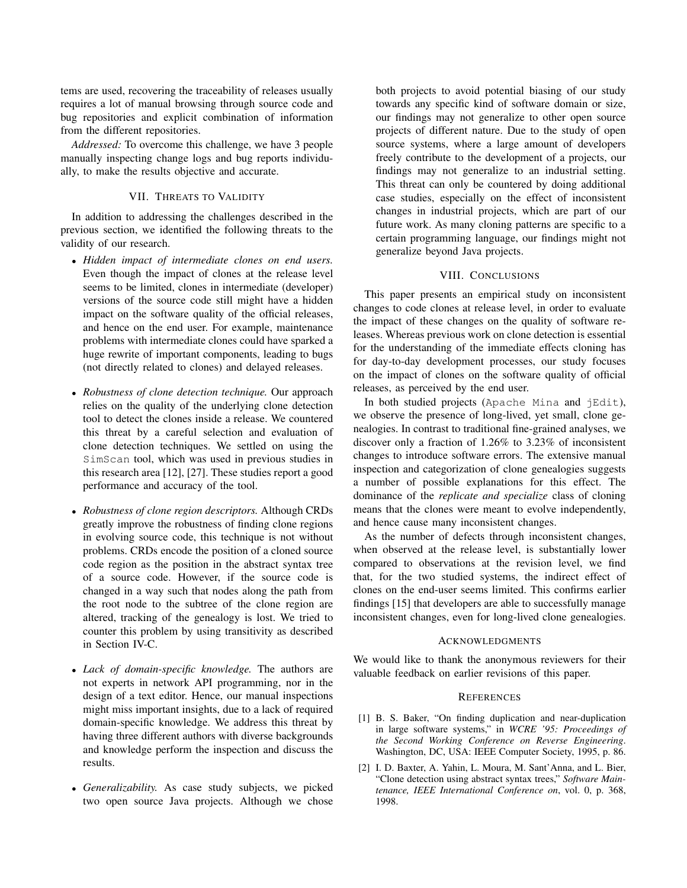tems are used, recovering the traceability of releases usually requires a lot of manual browsing through source code and bug repositories and explicit combination of information from the different repositories.

*Addressed:* To overcome this challenge, we have 3 people manually inspecting change logs and bug reports individually, to make the results objective and accurate.

# VII. THREATS TO VALIDITY

In addition to addressing the challenges described in the previous section, we identified the following threats to the validity of our research.

- *Hidden impact of intermediate clones on end users.* Even though the impact of clones at the release level seems to be limited, clones in intermediate (developer) versions of the source code still might have a hidden impact on the software quality of the official releases, and hence on the end user. For example, maintenance problems with intermediate clones could have sparked a huge rewrite of important components, leading to bugs (not directly related to clones) and delayed releases.
- *Robustness of clone detection technique.* Our approach relies on the quality of the underlying clone detection tool to detect the clones inside a release. We countered this threat by a careful selection and evaluation of clone detection techniques. We settled on using the SimScan tool, which was used in previous studies in this research area [12], [27]. These studies report a good performance and accuracy of the tool.
- *Robustness of clone region descriptors.* Although CRDs greatly improve the robustness of finding clone regions in evolving source code, this technique is not without problems. CRDs encode the position of a cloned source code region as the position in the abstract syntax tree of a source code. However, if the source code is changed in a way such that nodes along the path from the root node to the subtree of the clone region are altered, tracking of the genealogy is lost. We tried to counter this problem by using transitivity as described in Section IV-C.
- *Lack of domain-specific knowledge.* The authors are not experts in network API programming, nor in the design of a text editor. Hence, our manual inspections might miss important insights, due to a lack of required domain-specific knowledge. We address this threat by having three different authors with diverse backgrounds and knowledge perform the inspection and discuss the results.
- *Generalizability.* As case study subjects, we picked two open source Java projects. Although we chose

both projects to avoid potential biasing of our study towards any specific kind of software domain or size, our findings may not generalize to other open source projects of different nature. Due to the study of open source systems, where a large amount of developers freely contribute to the development of a projects, our findings may not generalize to an industrial setting. This threat can only be countered by doing additional case studies, especially on the effect of inconsistent changes in industrial projects, which are part of our future work. As many cloning patterns are specific to a certain programming language, our findings might not generalize beyond Java projects.

#### VIII. CONCLUSIONS

This paper presents an empirical study on inconsistent changes to code clones at release level, in order to evaluate the impact of these changes on the quality of software releases. Whereas previous work on clone detection is essential for the understanding of the immediate effects cloning has for day-to-day development processes, our study focuses on the impact of clones on the software quality of official releases, as perceived by the end user.

In both studied projects (Apache Mina and jEdit), we observe the presence of long-lived, yet small, clone genealogies. In contrast to traditional fine-grained analyses, we discover only a fraction of 1.26% to 3.23% of inconsistent changes to introduce software errors. The extensive manual inspection and categorization of clone genealogies suggests a number of possible explanations for this effect. The dominance of the *replicate and specialize* class of cloning means that the clones were meant to evolve independently, and hence cause many inconsistent changes.

As the number of defects through inconsistent changes, when observed at the release level, is substantially lower compared to observations at the revision level, we find that, for the two studied systems, the indirect effect of clones on the end-user seems limited. This confirms earlier findings [15] that developers are able to successfully manage inconsistent changes, even for long-lived clone genealogies.

#### **ACKNOWLEDGMENTS**

We would like to thank the anonymous reviewers for their valuable feedback on earlier revisions of this paper.

## **REFERENCES**

- [1] B. S. Baker, "On finding duplication and near-duplication in large software systems," in *WCRE '95: Proceedings of the Second Working Conference on Reverse Engineering*. Washington, DC, USA: IEEE Computer Society, 1995, p. 86.
- [2] I. D. Baxter, A. Yahin, L. Moura, M. Sant'Anna, and L. Bier, "Clone detection using abstract syntax trees," *Software Maintenance, IEEE International Conference on*, vol. 0, p. 368, 1998.